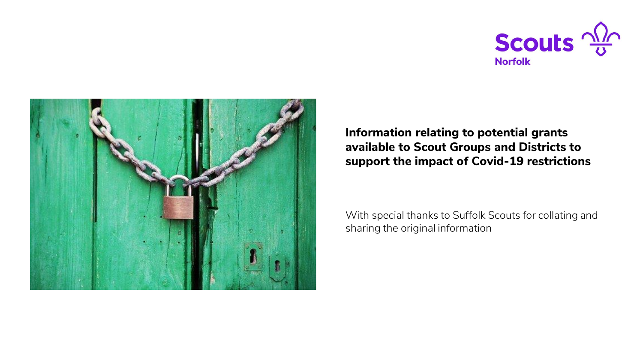



**Information relating to potential grants available to Scout Groups and Districts to support the impact of Covid-19 restrictions**

With special thanks to Suffolk Scouts for collating and sharing the original information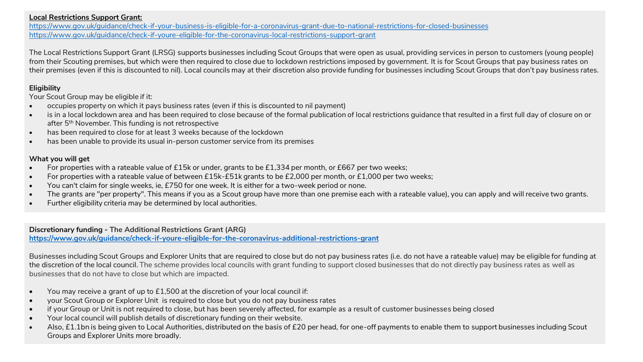## **Local Restrictions Support Grant:**

<https://www.gov.uk/guidance/check-if-your-business-is-eligible-for-a-coronavirus-grant-due-to-national-restrictions-for-closed-businesses> <https://www.gov.uk/guidance/check-if-youre-eligible-for-the-coronavirus-local-restrictions-support-grant>

The Local Restrictions Support Grant (LRSG) supports businesses including Scout Groups that were open as usual, providing services in person to customers (young people) from their Scouting premises, but which were then required to close due to lockdown restrictions imposed by government. It is for Scout Groups that pay business rates on their premises (even if this is discounted to nil). Local councils may at their discretion also provide funding for businesses including Scout Groups that don't pay business rates.

## **Eligibility**

Your Scout Group may be eligible if it:

- occupies property on which it pays business rates (even if this is discounted to nil payment)
- is in a local lockdown area and has been required to close because of the formal publication of local restrictions quidance that resulted in a first full day of closure on or after 5<sup>th</sup> November. This funding is not retrospective
- has been required to close for at least 3 weeks because of the lockdown
- has been unable to provide its usual in-person customer service from its premises

## **What you will get**

- For properties with a rateable value of £15k or under, grants to be £1,334 per month, or £667 per two weeks;
- For properties with a rateable value of between £15k-£51k grants to be £2,000 per month, or £1,000 per two weeks;
- You can't claim for single weeks, ie, £750 for one week. It is either for a two-week period or none.
- The grants are "per property". This means if you as a Scout group have more than one premise each with a rateable value), you can apply and will receive two grants.
- Further eligibility criteria may be determined by local authorities.

**Discretionary funding - The Additional Restrictions Grant (ARG) <https://www.gov.uk/guidance/check-if-youre-eligible-for-the-coronavirus-additional-restrictions-grant>**

Businesses including Scout Groups and Explorer Units that are required to close but do not pay business rates (i.e. do not have a rateable value) may be eligible for funding at the discretion of the local council. The scheme provides local councils with grant funding to support closed businesses that do not directly pay business rates as well as businesses that do not have to close but which are impacted.

- You may receive a grant of up to  $£1,500$  at the discretion of your local council if:
- your Scout Group or Explorer Unit is required to close but you do not pay business rates
- if your Group or Unit is not required to close, but has been severely affected, for example as a result of customer businesses being closed
- Your local council will publish details of discretionary funding on their website.
- Also, £1.1bn is being given to Local Authorities, distributed on the basis of £20 per head, for one-off payments to enable them to support businesses including Scout Groups and Explorer Units more broadly.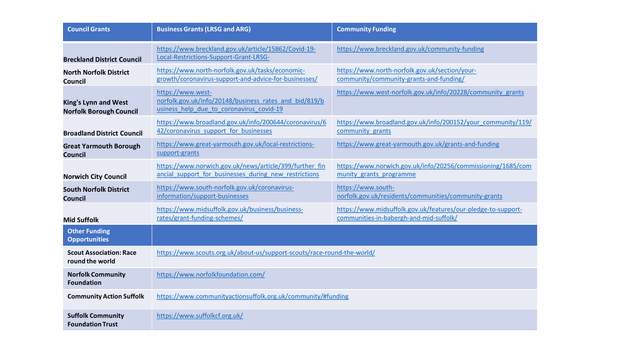| <b>Council Grants</b>                                         | <b>Business Grants (LRSG and ARG)</b>                                                                                   | <b>Community Funding</b>                                                                                 |
|---------------------------------------------------------------|-------------------------------------------------------------------------------------------------------------------------|----------------------------------------------------------------------------------------------------------|
| <b>Breckland District Council</b>                             | https://www.breckland.gov.uk/article/15862/Covid-19-<br>Local-Restrictions-Support-Grant-LRSG-                          | https://www.breckland.gov.uk/community-funding                                                           |
| <b>North Norfolk District</b><br><b>Council</b>               | https://www.north-norfolk.gov.uk/tasks/economic-<br>growth/coronavirus-support-and-advice-for-businesses/               | https://www.north-norfolk.gov.uk/section/your-<br>community/community-grants-and-funding/                |
| <b>King's Lynn and West</b><br><b>Norfolk Borough Council</b> | https://www.west-<br>norfolk.gov.uk/info/20148/business rates and bid/819/b<br>usiness help due to coronavirus covid-19 | https://www.west-norfolk.gov.uk/info/20228/community grants                                              |
| <b>Broadland District Council</b>                             | https://www.broadland.gov.uk/info/200644/coronavirus/6<br>42/coronavirus support for businesses                         | https://www.broadland.gov.uk/info/200152/your_community/119/<br>community grants                         |
| <b>Great Yarmouth Borough</b><br><b>Council</b>               | https://www.great-yarmouth.gov.uk/local-restrictions-<br>support-grants                                                 | https://www.great-yarmouth.gov.uk/grants-and-funding                                                     |
| <b>Norwich City Council</b>                                   | https://www.norwich.gov.uk/news/article/399/further fin<br>ancial support for businesses during new restrictions        | https://www.norwich.gov.uk/info/20256/commissioning/1685/com<br>munity grants programme                  |
| <b>South Norfolk District</b><br>Council                      | https://www.south-norfolk.gov.uk/coronavirus-<br>information/support-businesses                                         | https://www.south-<br>norfolk.gov.uk/residents/communities/community-grants                              |
| <b>Mid Suffolk</b>                                            | https://www.midsuffolk.gov.uk/business/business-<br>rates/grant-funding-schemes/                                        | https://www.midsuffolk.gov.uk/features/our-pledge-to-support-<br>communities-in-babergh-and-mid-suffolk/ |
| <b>Other Funding</b><br><b>Opportunities</b>                  |                                                                                                                         |                                                                                                          |
| <b>Scout Association: Race</b><br>round the world             | https://www.scouts.org.uk/about-us/support-scouts/race-round-the-world/                                                 |                                                                                                          |
| <b>Norfolk Community</b><br><b>Foundation</b>                 | https://www.norfolkfoundation.com/                                                                                      |                                                                                                          |
| <b>Community Action Suffolk</b>                               | https://www.communityactionsuffolk.org.uk/community/#funding                                                            |                                                                                                          |
| <b>Suffolk Community</b><br><b>Foundation Trust</b>           | https://www.suffolkcf.org.uk/                                                                                           |                                                                                                          |